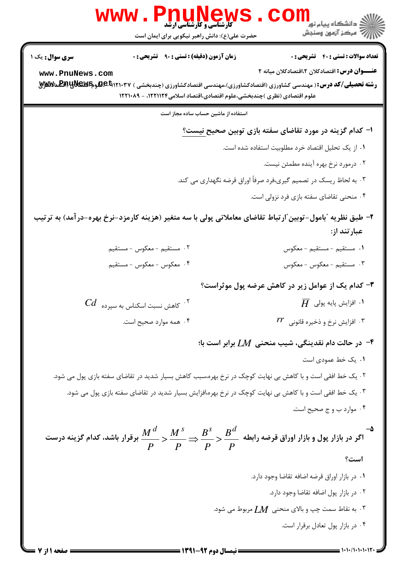|                        | WWW . PIIUNGWS<br>حضرت علی(ع): دانش راهبر نیکویی برای ایمان است                                                                                                                                                                     | ڪ دانشڪاه پيا <sub>م</sub> نور<br>7ء مرڪز آزمون وسنڊش              |
|------------------------|-------------------------------------------------------------------------------------------------------------------------------------------------------------------------------------------------------------------------------------|--------------------------------------------------------------------|
| <b>سری سوال :</b> یک ۱ | <b>زمان آزمون (دقیقه) : تستی : ۹۰ قشریحی : 0</b>                                                                                                                                                                                    | <b>تعداد سوالات : تستی : 40 قشریحی : 0</b>                         |
| www.PnuNews.com        | <b>رشته تحصیلی/کد درس:</b> ( مهندسی کشاورزی (اقتصادکشاورزی)،مهندسی اقتصادکشاورزی (چندبخشی ) Beb۱۲۱۰۳۷ههوه <b>EAPیRA (EXE</b> مالایتی<br>علوم اقتصادی (نظری )چندبخشی،علوم اقتصادی،اقتصاد اسلامی۱۲۲۱۱۲۴، - ۱۲۲۱۰۸۹                    | <b>عنــــوان درس:</b> اقتصادکلان ۲،اقتصادکلان میانه ۲              |
|                        | استفاده از ماشین حساب ساده مجاز است                                                                                                                                                                                                 |                                                                    |
|                        |                                                                                                                                                                                                                                     | ا– کدام گزینه در مورد تقاضای سفته بازی توبین صحیح نیست؟            |
|                        |                                                                                                                                                                                                                                     | ۰۱ از یک تحلیل اقتصاد خرد مطلوبیت استفاده شده است.                 |
|                        |                                                                                                                                                                                                                                     | ۰۲ درمورد نرخ بهره آینده مطمئن نیست.                               |
|                        |                                                                                                                                                                                                                                     | ۰۳ به لحاظ ریسک در تصمیم گیری،فرد صرفاً اوراق قرضه نگهداری می کند. |
|                        |                                                                                                                                                                                                                                     | ۰۴ منحنی تقاضای سفته بازی فرد نزولی است.                           |
|                        | ۲– طبق نظریه ″بامول–توبین″ار تباط تقاضای معاملاتی پولی با سه متغیر (هزینه کارمزد–نرخ بهره–در آمد) به تر تیب                                                                                                                         | عبارتند از:                                                        |
|                        | ٢. مستقيم -معكوس -مستقيم                                                                                                                                                                                                            | <mark>1</mark> . مستقيم - مستقيم - معكوس                           |
|                        | ۴. معكوس - معكوس - مستقيم                                                                                                                                                                                                           | ٣. مستقيم - معكوس - معكوس                                          |
|                        |                                                                                                                                                                                                                                     | ۳- کدام یک از عوامل زیر در کاهش عرضه پول موثراست؟                  |
|                        | $\mathit{Cd}_-$ کاهش نسبت اسکناس به سپرده $^\mathcal{S}$                                                                                                                                                                            | $\,\overline{H}\,\,$ ۰۱ افزایش پایه پولی $\,$ $\,$                 |
|                        | ۰۴ همه موارد صحیح است.                                                                                                                                                                                                              | $rr$ افزایش نرخ و ذخیره قانونی $\,$                                |
|                        |                                                                                                                                                                                                                                     | در حالت دام نقدینگی، شیب منحنی $L M$ برابر است با $\cdot$          |
|                        |                                                                                                                                                                                                                                     | ٠١. يک خط عمودي است                                                |
|                        | ۰۲ یک خط افقی است و با کاهش بی نهایت کوچک در نرخ بهره،سبب کاهش بسیار شدید در تقاضای سفته بازی پول می شود.                                                                                                                           |                                                                    |
|                        | ۰۳ یک خط افقی است و با کاهش بی نهایت کوچک در نرخ بهره،افزایش بسیار شدید در تقاضای سفته بازی پول می شود.                                                                                                                             |                                                                    |
|                        |                                                                                                                                                                                                                                     | ۰۴ موارد ب و ج صحیح است.                                           |
|                        | اگر در بازار پول و بازار اوراق قرضه رابطه $\displaystyle \frac{B^{\scriptscriptstyle S}}{P}$ $\displaystyle \frac{M^{\scriptscriptstyle \,d}}{P}$ برقرار باشد، کدام گزینه درست $\displaystyle \frac{M^{\scriptscriptstyle \,d}}{P}$ |                                                                    |
|                        |                                                                                                                                                                                                                                     | است؟                                                               |
|                        |                                                                                                                                                                                                                                     | ٠١ در بازار اوراق قرضه اضافه تقاضا وجود دارد.                      |
|                        |                                                                                                                                                                                                                                     | ٠٢ در بازار پول اضافه تقاضا وجود دارد.                             |
|                        |                                                                                                                                                                                                                                     | ۰۳ . به نقاط سمت چپ و بالای منحنی $\,M\,$ مربوط می شود.            |
|                        |                                                                                                                                                                                                                                     | ۰۴ در بازار پول تعادل برقرار است.                                  |
|                        |                                                                                                                                                                                                                                     |                                                                    |

**= نیمسال دوم 92-1391 <del>===</del>** 

صفحه 1 از 7 =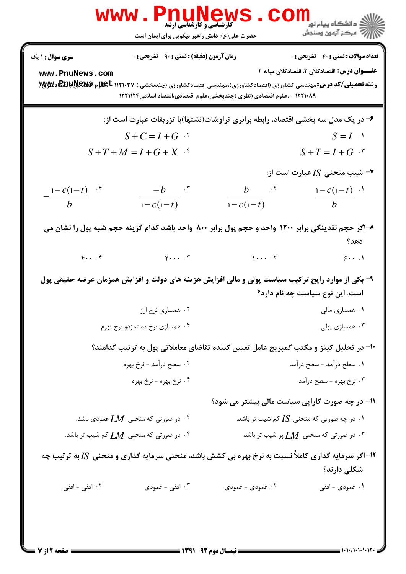|                                           | <b>www.PnuNews</b><br><b>گارشناسی و کارشناسی ارشد</b><br>حضرت علی(ع): دانش راهبر نیکویی برای ایمان است                                                                                                                                                                          |                                                | <mark>د</mark> دانشگاه پيام نو <mark>ر</mark><br>أأأأ مركز آزمون وسنجش                                |
|-------------------------------------------|---------------------------------------------------------------------------------------------------------------------------------------------------------------------------------------------------------------------------------------------------------------------------------|------------------------------------------------|-------------------------------------------------------------------------------------------------------|
| <b>سری سوال : ۱ یک</b><br>www.PnuNews.com | <b>زمان آزمون (دقیقه) : تستی : ۹۰ قشریحی : 0</b><br><b>رشته تحصیلی/کد درس: م</b> هندسی کشاورزی (اقتصادکشاورزی)،مهندسی اقتصادکشاورزی (چندبخشی ) ۱۱۲۱۰۳۷ <b>EBBWS &amp;ws پالا</b> لگاو <b>تلاپین</b><br>۱۲۲۱۰۸۹ - ،علوم اقتصادی (نظری )چندبخشی،علوم اقتصادی،اقتصاد اسلامی۱۲۲۱۱۲۴ |                                                | <b>تعداد سوالات : تستی : 40 - تشریحی : 0</b><br><b>عنــــوان درس:</b> اقتصادکلان ۲،اقتصادکلان میانه ۲ |
|                                           | ۶- در یک مدل سه بخشی اقتصاد، رابطه برابری تراوشات(نشتها)با تزریقات عبارت است از:                                                                                                                                                                                                |                                                |                                                                                                       |
|                                           | $S+C=I+G$ .                                                                                                                                                                                                                                                                     |                                                | $S = I$ $\cdot$                                                                                       |
|                                           | $S+T+M=I+G+X$ <sup>f</sup>                                                                                                                                                                                                                                                      |                                                | $S+T=I+G$ *                                                                                           |
|                                           |                                                                                                                                                                                                                                                                                 |                                                | - شیب منحنی $I$ Z عبارت است از $\blacktriangleright$                                                  |
| $\frac{1-c(1-t)}{b}$                      | $-b$ $\cdot$ $\cdot$<br>$1 - c(1-t)$                                                                                                                                                                                                                                            |                                                | $rac{b}{1-c(1-t)}$ $rac{1-c(1-t)}{b}$ $rac{1}{1-c(1-t)}$                                              |
| $F \cdot \cdot \cdot$                     | ۸–اگر حجم نقدینگی برابر ۱۲۰۰ واحد و حجم پول برابر ۸۰۰ واحد باشد کدام گزینه حجم شبه پول را نشان می<br>$Y \cdot \cdot \cdot$ . $Y$                                                                                                                                                | $1 \cdots$ . $1$                               | دهد؟<br>9.1                                                                                           |
|                                           | ۹- یکی از موارد رایج ترکیب سیاست پولی و مالی افزایش هزینه های دولت و افزایش همزمان عرضه حقیقی پول                                                                                                                                                                               |                                                | است. این نوع سیاست چه نام دارد؟                                                                       |
|                                           | ۰۲ همسازی نرخ ارز                                                                                                                                                                                                                                                               |                                                | ۰۱ همسازی مالی                                                                                        |
|                                           | ۰۴ همسازی نرخ دستمزدو نرخ تورم                                                                                                                                                                                                                                                  |                                                | ۰۳ همسازی پولی                                                                                        |
|                                           | ∙ا− در تحلیل کینز و مکتب کمبریج عامل تعیین کننده تقاضای معاملاتی پول به ترتیب کدامند؟                                                                                                                                                                                           |                                                |                                                                                                       |
|                                           | ۲. سطح درآمد - نرخ بهره                                                                                                                                                                                                                                                         |                                                | ۰۱ سطح درآمد - سطح درآمد                                                                              |
|                                           | ۴ . نرخ بهره - نرخ بهره                                                                                                                                                                                                                                                         |                                                | ۰۳ نرخ بهره - سطح درآمد                                                                               |
|                                           |                                                                                                                                                                                                                                                                                 | 11- در چه صورت کارایی سیاست مالی بیشتر می شود؟ |                                                                                                       |
|                                           | ۰۲ در صورتی که منحنی $LM$ عمودی باشد. $\cdot$                                                                                                                                                                                                                                   |                                                | ۰۱ در چه صورتی که منحنی $I$ S کم شیب تر باشد. $\cdot$                                                 |
|                                           | ۰۴ در صورتی که منحنی $LM$ کم شیب تر باشد. $\cdot$                                                                                                                                                                                                                               |                                                | ۰۳ در صورتی که منحنی $\,M\,$ پر شیب تر باشد. $\,$                                                     |
|                                           | ۱۲- اگر سرمایه گذاری کاملاً نسبت به نرخ بهره بی کشش باشد، منحنی سرمایه گذاری و منحنی S[ به ترتیب چه                                                                                                                                                                             |                                                | شکلی دارند؟                                                                                           |
| ۰۴ افقی - افقی                            | ۰۳ افقی - عمودی                                                                                                                                                                                                                                                                 | ۰۲ عمودی - عمودی                               | ۱. عمودی - افقی                                                                                       |
|                                           |                                                                                                                                                                                                                                                                                 |                                                |                                                                                                       |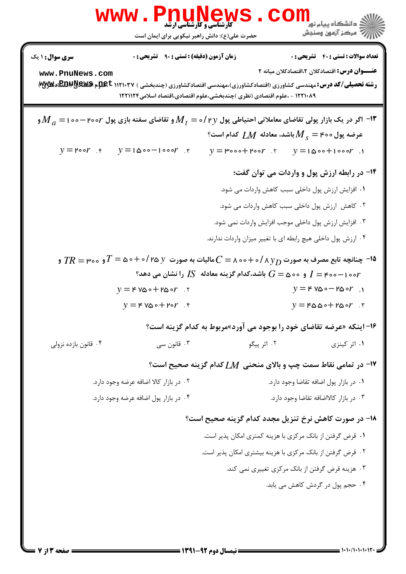| سری سوال: ۱ یک                                                                                                                                | <b>زمان آزمون (دقیقه) : تستی : ۹۰ قشریحی : 0</b>                                                                                                                                                            |                                                                                                |                                                      | <b>تعداد سوالات : تستي : 40 - تشريحي : 0</b>                  |
|-----------------------------------------------------------------------------------------------------------------------------------------------|-------------------------------------------------------------------------------------------------------------------------------------------------------------------------------------------------------------|------------------------------------------------------------------------------------------------|------------------------------------------------------|---------------------------------------------------------------|
| www.PnuNews.com                                                                                                                               | <b>رشته تحصیلی/کد درس: مهندسی کشاورزی (اقتصادکشاورزی)،مهندسی اقتصادکشاورزی (چندبخشی ) ۱۱۲۱۰۳۷ عیملوم هیهیکاپالتا اوتلاپایی)</b><br>۱۲۲۱۰۸۹ - ،علوم اقتصادی (نظری )چندبخشی،علوم اقتصادی،اقتصاد اسلامی۱۲۲۱۱۲۴ |                                                                                                |                                                      | <b>عنـــوان درس:</b> اقتصادکلان ۲،اقتصادکلان میانه ۲          |
| ا اگر در یک بازار پولی تقاضای معاملاتی احتیاطی پول $\bm{M}_f$ $\bm{\nu}$ و تقاضای سفته بازی پول $\bm{r}$ ۰۰۷ – ۱۰۵۰ $\bm{M}_a$ و $\bm{N}_a=1$ |                                                                                                                                                                                                             |                                                                                                |                                                      |                                                               |
|                                                                                                                                               |                                                                                                                                                                                                             | $^{\circ}$ عرضه پول ۴۰۰ = $M_{_S}$ باشد، معادله $M$ کدام است                                   |                                                      |                                                               |
| $y = \mathsf{p} \circ \mathsf{p}$ .                                                                                                           | $y = 1000 - 1000r$ .                                                                                                                                                                                        | $y = \text{poo} + \text{poo}$                                                                  |                                                      | $y = 1000 + 1000r$ .                                          |
|                                                                                                                                               |                                                                                                                                                                                                             |                                                                                                |                                                      | ۱۴- در رابطه ارزش پول و واردات می توان گفت؛                   |
|                                                                                                                                               |                                                                                                                                                                                                             |                                                                                                | ۰۱ افزایش ارزش پول داخلی سبب کاهش واردات می شود.     |                                                               |
|                                                                                                                                               |                                                                                                                                                                                                             |                                                                                                | ۰۲ کاهش ارزش پول داخلی سبب کاهش واردات می شود.       |                                                               |
|                                                                                                                                               |                                                                                                                                                                                                             |                                                                                                | ۰۳ افزایش ارزش پول داخلی موجب افزایش واردات نمی شود. |                                                               |
|                                                                                                                                               |                                                                                                                                                                                                             | ۰۴ ارزش پول داخلی هیچ رابطه ای با تغییر میزان واردات ندارند.                                   |                                                      |                                                               |
|                                                                                                                                               | و ه $T$ چنانچه تابع مصرف به صورت $\lambda\,y_D$ / ۱۰/ ۱۰۵۰ $C= \lambda\,$ مالیات به صورت $y$ ۵/ ۱۰ $\lambda\,y_D$ و $T= \pi\,$ و $T$                                                                        | ی می دهد؟ $I = \mathbb{S}$ و می $\mathbb{G} = G$ باشد،کدام گزینه معادله $I$ را نشان می دهد $r$ |                                                      |                                                               |
|                                                                                                                                               | $y = F V\omega \circ F P\omega \circ r$ .                                                                                                                                                                   |                                                                                                |                                                      | $y = F V\omega \circ - F\omega \circ r$ .                     |
|                                                                                                                                               | $y = F V\omega \circ + F \circ r$ .                                                                                                                                                                         |                                                                                                |                                                      | $y = \texttt{F\omega\omega} \circ \texttt{F\omega} \circ r$ . |
|                                                                                                                                               |                                                                                                                                                                                                             | ۱۶- اینکه «عرضه تقاضای خود را بوجود می آورد»مربوط به کدام گزینه است؟                           |                                                      |                                                               |
| ۰۴ قانون بازده نزولي                                                                                                                          | ۰۳ قانون سي                                                                                                                                                                                                 | ۰۲ اثر پیگو                                                                                    |                                                      | ۰۱ اثر کینزی                                                  |
|                                                                                                                                               |                                                                                                                                                                                                             | ا- در تمامی نقاط سمت چپ و بالای منحنی $M$ کدام گزینه صحیح است؟                                 |                                                      |                                                               |
|                                                                                                                                               | ۰۲ در بازار کالا اضافه عرضه وجود دارد.                                                                                                                                                                      |                                                                                                |                                                      | ٠١ در بازار پول اضافه تقاضا وجود دارد.                        |
|                                                                                                                                               | ۰۴ در بازار پول اضافه عرضه وجود دارد.                                                                                                                                                                       |                                                                                                |                                                      | ٠٣ در بازار كالااضافه تقاضا وجود دارد.                        |
|                                                                                                                                               |                                                                                                                                                                                                             | ۱۸– در صورت کاهش نرخ تنزیل مجدد کدام گزینه صحیح است؟                                           |                                                      |                                                               |
|                                                                                                                                               |                                                                                                                                                                                                             | ٠١ قرض گرفتن از بانک مرکزي با هزينه کمتري امکان پذير است.                                      |                                                      |                                                               |
|                                                                                                                                               |                                                                                                                                                                                                             | ۰۲ قرض گرفتن از بانک مرکزی با هزینه بیشتری امکان پذیر است.                                     |                                                      |                                                               |
|                                                                                                                                               |                                                                                                                                                                                                             |                                                                                                | ۰۳ هزینه قرض گرفتن از بانک مرکزی تغییری نمی کند.     |                                                               |
|                                                                                                                                               |                                                                                                                                                                                                             |                                                                                                |                                                      | ۰۴ حجم پول در گردش کاهش می یابد.                              |
|                                                                                                                                               |                                                                                                                                                                                                             |                                                                                                |                                                      |                                                               |
|                                                                                                                                               |                                                                                                                                                                                                             | $=$ 14401 - 84 $\sim$ 55 M $\sim$ 5 $=$                                                        |                                                      |                                                               |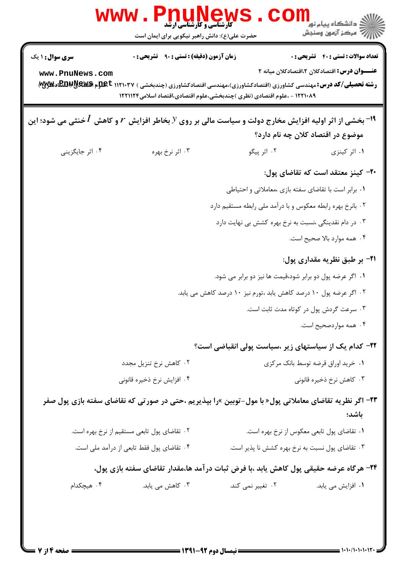| <b>WWW</b>                                                                                                                                                                    | <b>MENEW</b><br>کارشناسی و کارشناسی ارشد<br>حضرت علی(ع): دانش راهبر نیکویی برای ایمان است |                                                                                                       | د دانشڪاه پيام نور<br>7- مرڪز آزمون وسنڊش                                                     |
|-------------------------------------------------------------------------------------------------------------------------------------------------------------------------------|-------------------------------------------------------------------------------------------|-------------------------------------------------------------------------------------------------------|-----------------------------------------------------------------------------------------------|
| سری سوال : ۱ یک<br>www.PnuNews.com<br><b>رشته تحصیلی/کد درس:</b> مهندسی کشاورزی (اقتصادکشاورزی)،مهندسی اقتصادکشاورزی (چندبخشی ) ۱۱۲۱۰۳۷ ج <b>لوم هیهیکاپایتان اوتلاپاین</b> ) | <b>زمان آزمون (دقیقه) : تستی : ۹۰ تشریحی : 0</b>                                          | ۱۲۲۱۰۸۹ - ،علوم اقتصادی (نظری )چندبخشی،علوم اقتصادی،اقتصاد اسلامی۱۲۲۱۱۲۴                              | <b>تعداد سوالات : تستي : 40 - تشريحي : 0</b><br>عنـــوان درس: اقتصادکلان ۲،اقتصادکلان میانه ۲ |
| ا استخشی از اثر اولیه افزایش مخارج دولت و سیاست مالی بر روی $\mathcal Y$ بخاطر افزایش $r$ و کاهش $I$ خنثی می شود؛ این $^{-1}$                                                 |                                                                                           |                                                                                                       | موضوع در اقتصاد کلان چه نام دارد؟                                                             |
| ۰۴ اثر جایگزینی                                                                                                                                                               | ۰۳ اثر نرخ بهره                                                                           | ۰۲ اثر پیگو                                                                                           | ۰۱ اثر کینزی                                                                                  |
|                                                                                                                                                                               |                                                                                           |                                                                                                       | ۲۰– کینز معتقد است که تقاضای پول:                                                             |
|                                                                                                                                                                               |                                                                                           |                                                                                                       | ۰۱ برابر است با تقاضای سفته بازی ،معاملاتی و احتیاطی                                          |
|                                                                                                                                                                               |                                                                                           | ۰۲ بانرخ بهره رابطه معکوس و با درآمد ملی رابطه مستقیم دارد                                            |                                                                                               |
|                                                                                                                                                                               |                                                                                           | ۰۳ در دام نقدینگی ،نسبت به نرخ بهره کشش بی نهایت دارد                                                 |                                                                                               |
|                                                                                                                                                                               |                                                                                           |                                                                                                       | ۰۴ همه موارد بالا صحيح است.                                                                   |
|                                                                                                                                                                               |                                                                                           |                                                                                                       | <b>۳۱</b> - بر طبق نظریه مقداری پول:                                                          |
|                                                                                                                                                                               |                                                                                           | ۰۱ اگر عرضه پول دو برابر شود،قیمت ها نیز دو برابر می شود.                                             |                                                                                               |
|                                                                                                                                                                               |                                                                                           | ۰۲ اگر عرضه پول ۱۰ درصد کاهش یابد ،تورم نیز ۱۰ درصد کاهش می یابد.                                     |                                                                                               |
|                                                                                                                                                                               |                                                                                           |                                                                                                       | ۰۳ سرعت گردش پول در کوتاه مدت ثابت است.                                                       |
|                                                                                                                                                                               |                                                                                           |                                                                                                       | ۰۴ همه مواردصحیح است.                                                                         |
|                                                                                                                                                                               |                                                                                           | ۲۲– کدام یک از سیاستهای زیر ،سیاست پولی انقباضی است؟                                                  |                                                                                               |
|                                                                                                                                                                               | ۰۲ کاهش نرخ تنزیل مجدد                                                                    |                                                                                                       | ٠١ خريد اوراق قرضه توسط بانك مركزى                                                            |
|                                                                                                                                                                               | ۰۴ افزايش نرخ ذخيره قانوني                                                                |                                                                                                       | ۰۳ کاهش نرخ ذخیره قانونی                                                                      |
|                                                                                                                                                                               |                                                                                           | ۲۳- اگر نظریه تقاضای معاملاتی پول« با مول-توبین »را بپذیریم ،حتی در صورتی که نقاضای سفته بازی پول صفر | باشد؛                                                                                         |
|                                                                                                                                                                               | ۰۲ تقاضای پول تابعی مستقیم از نرخ بهره است.                                               |                                                                                                       | ۰۱ تقاضای پول تابعی معکوس از نرخ بهره است.                                                    |
|                                                                                                                                                                               | ۰۴ تقاضای پول فقط تابعی از درآمد ملی است.                                                 |                                                                                                       | ۰۳ تقاضای پول نسبت به نرخ بهره کشش نا پذیر است.                                               |
|                                                                                                                                                                               |                                                                                           | ۲۴- هرگاه عرضه حقیقی پول کاهش یابد ،با فرض ثبات درآمد ها،مقدار تقاضای سفته بازی پول،                  |                                                                                               |
| ۰۴ هیچکدام                                                                                                                                                                    | ۰۳ کاهش می یابد.                                                                          | ۰۲ تغییر نمی کند.                                                                                     | ۰۱ افزایش می یابد.                                                                            |
|                                                                                                                                                                               |                                                                                           |                                                                                                       |                                                                                               |
|                                                                                                                                                                               |                                                                                           |                                                                                                       |                                                                                               |
|                                                                                                                                                                               |                                                                                           |                                                                                                       |                                                                                               |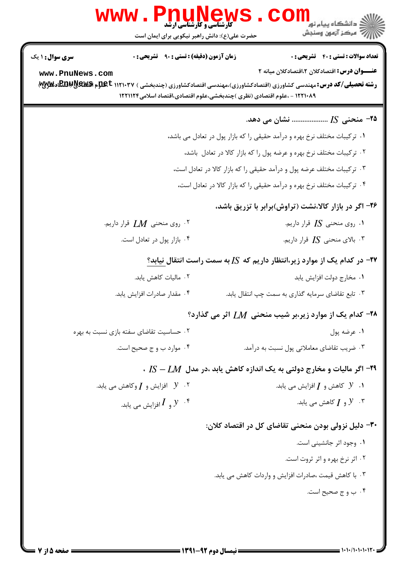|                                                                        | <b>www.PnuNews</b><br><b>گارشناسی و کارشناسی ارشد</b><br>حضرت علی(ع): دانش راهبر نیکویی برای ایمان است | ر دانشڪاه پيام نور <mark>−</mark><br>ا∛ مرکز آزمون وسنجش                                                                                                                                                                                                                                                            |  |
|------------------------------------------------------------------------|--------------------------------------------------------------------------------------------------------|---------------------------------------------------------------------------------------------------------------------------------------------------------------------------------------------------------------------------------------------------------------------------------------------------------------------|--|
| <b>سری سوال : ۱ یک</b><br>www.PnuNews.com                              | <b>زمان آزمون (دقیقه) : تستی : ۹۰٪ تشریحی : 0</b>                                                      | <b>تعداد سوالات : تستی : 40 قشریحی : 0</b><br>عنـــوان درس: اقتصادکلان ۲،اقتصادکلان میانه ۲<br><b>رشته تحصیلی/کد درس: م</b> هندسی کشاورزی (اقتصادکشاورزی)،مهندسی اقتصادکشاورزی (چندبخشی ) ۱۱۲۱۰۳۷ ج <b>لوم هیهیکاپایتان اوتلاپاین</b> )<br>۱۲۲۱۰۸۹ - ،علوم اقتصادی (نظری )چندبخشی،علوم اقتصادی،اقتصاد اسلامی۱۲۲۱۱۲۴ |  |
|                                                                        |                                                                                                        | ۲۵− منحنی IS  نشان می دهد.                                                                                                                                                                                                                                                                                          |  |
|                                                                        |                                                                                                        | ۰۱ ترکیبات مختلف نرخ بهره و درآمد حقیقی را که بازار پول در تعادل می باشد،                                                                                                                                                                                                                                           |  |
|                                                                        |                                                                                                        | ۰۲ ترکیبات مختلف نرخ بهره و عرضه پول را که بازار کالا در تعادل باشد،                                                                                                                                                                                                                                                |  |
| ۰۳ ترکیبات مختلف عرضه پول و درآمد حقیقی را که بازار کالا در تعادل است، |                                                                                                        |                                                                                                                                                                                                                                                                                                                     |  |
|                                                                        |                                                                                                        | ۰۴ ترکیبات مختلف نرخ بهره و درآمد حقیقی را که بازار کالا در تعادل است،                                                                                                                                                                                                                                              |  |
|                                                                        |                                                                                                        | ۲۶- اگر در بازار کالا،نشت (تراوش)برابر با تزریق باشد،                                                                                                                                                                                                                                                               |  |
|                                                                        | ۰۲ روی منحنی $\emph{LM}$ قرار داریم.                                                                   | ۰۱ روی منحنی $I$ S قرار داریم.                                                                                                                                                                                                                                                                                      |  |
|                                                                        | ۰۴ بازار پول در تعادل است.                                                                             | ۰۳ بالای منحنی $I$ S قرار داریم.                                                                                                                                                                                                                                                                                    |  |
|                                                                        |                                                                                                        | <b>۳۷</b> - در کدام یک از موارد زیر،انتظار داریم که IS به سمت راست انتقال نیابد؟                                                                                                                                                                                                                                    |  |
|                                                                        | ۰۲ مالیات کاهش یابد.                                                                                   | ٠١. مخارج دولت افزايش يابد                                                                                                                                                                                                                                                                                          |  |
|                                                                        | ۰۴ مقدار صادرات افزايش يابد.                                                                           | ۰۳ تابع تقاضای سرمایه گذاری به سمت چپ انتقال یابد.                                                                                                                                                                                                                                                                  |  |
|                                                                        |                                                                                                        | ۰۲۸ کدام یک از موارد زیر،بر شیب منحنی $M$ اثر می گذارد؟                                                                                                                                                                                                                                                             |  |
|                                                                        | ۰۲ حساسیت تقاضای سفته بازی نسبت به بهره                                                                | ۰۱ عرضه یول                                                                                                                                                                                                                                                                                                         |  |
|                                                                        | ۰۴ موارد ب و ج صحیح است.                                                                               | ۰۳ ضریب تقاضای معاملاتی پول نسبت به درآمد.                                                                                                                                                                                                                                                                          |  |
|                                                                        |                                                                                                        | ۰ $I$ S – $L$ M اگر مالیات و مخارج دولتی به یک اندازه کاهش یابد ،در مدل $-1$ M $\,$                                                                                                                                                                                                                                 |  |
|                                                                        | ۰۲ گافزایش و $I$ وکاهش می یابد. $\,$                                                                   | د لا كاهش و $I$ افزايش مي يابد. $\mathcal Y$                                                                                                                                                                                                                                                                        |  |
|                                                                        | ۰۴ و $I$ افزایش می یابد. $Y$                                                                           | و $I$ کاهش می یابد. $Y$                                                                                                                                                                                                                                                                                             |  |
|                                                                        |                                                                                                        | ۳۰– دلیل نزولی بودن منحنی تقاضای کل در اقتصاد کلان:                                                                                                                                                                                                                                                                 |  |
|                                                                        |                                                                                                        | ۰۱ وجود اثر جانشینی است.                                                                                                                                                                                                                                                                                            |  |
|                                                                        |                                                                                                        | ۰۲ اثر نرخ بهره و اثر ثروت است.                                                                                                                                                                                                                                                                                     |  |
|                                                                        |                                                                                                        | ۰۳ با کاهش قیمت ،صادرات افزایش و واردات کاهش می یابد.                                                                                                                                                                                                                                                               |  |
|                                                                        |                                                                                                        | ۰۴ ب وج صحیح است.                                                                                                                                                                                                                                                                                                   |  |
|                                                                        |                                                                                                        |                                                                                                                                                                                                                                                                                                                     |  |
|                                                                        |                                                                                                        |                                                                                                                                                                                                                                                                                                                     |  |
|                                                                        |                                                                                                        |                                                                                                                                                                                                                                                                                                                     |  |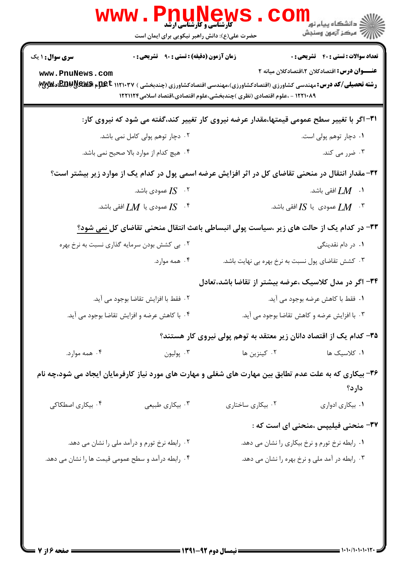| ر دانشڪاه پيام نور <mark>−</mark><br>ر <i>ا</i> =<br>رکز آزمون وسنڊش                                                                                                                                                                        |
|---------------------------------------------------------------------------------------------------------------------------------------------------------------------------------------------------------------------------------------------|
| <b>تعداد سوالات : تستي : 40 ٪ تشريحي : 0</b><br><b>عنـــوان درس:</b> اقتصادکلان ۲،اقتصادکلان میانه ۲<br><b>رشته تحصیلی/کد درس: م</b> هندسی کشاورزی (اقتصادکشاورزی)،مهندسی اقتصادکشاورزی (چندبخشی ) ۱۱۲۱۰۳۷ <b>EBBWS بهREG به</b> یندسی کشور |
| ۳۱– اگر با تغییر سطح عمومی قیمتها،مقدار عرضه نیروی کار تغییر کند،گفته می شود که نیروی کار:                                                                                                                                                  |
| ۰۱ دچار توهم پولی است.                                                                                                                                                                                                                      |
| ۰۳ ضرر می کند.                                                                                                                                                                                                                              |
| ۳۲- مقدار انتقال در منحنی تقاضای کل در اثر افزایش عرضه اسمی پول در کدام یک از موارد زیر بیشتر است؟                                                                                                                                          |
| ا افقى باشد. $L\!M$                                                                                                                                                                                                                         |
| عمودي  يا $I$ [ افقى باشد. $L$ M $^\circ$                                                                                                                                                                                                   |
| <b>۳۳</b> - در کدام یک از حالت های زیر ،سیاست پولی انبساطی باعث انتقال منحنی تقاضای کل <u>نمی</u> شود؟                                                                                                                                      |
| ۰۱ در دام نقدینگی                                                                                                                                                                                                                           |
| ۰۳ کشش تقاضای پول نسبت به نرخ بهره بی نهایت باشد.                                                                                                                                                                                           |
| ۳۴– اگر در مدل کلاسیک ،عرضه بیشتر از تقاضا باشد،تعادل                                                                                                                                                                                       |
| ٠١. فقط با كاهش عرضه بوجود مي آيد.                                                                                                                                                                                                          |
| ۰۳ با افزایش عرضه و کاهش تقاضا بوجود می آید.                                                                                                                                                                                                |
| ۳۵– کدام یک از اقتصاد دانان زیر معتقد به توهم پولی نیروی کار هستند؟                                                                                                                                                                         |
| ۰۱ کلاسیک ها                                                                                                                                                                                                                                |
| ۳۶- بیکاری که به علت عدم تطابق بین مهارت های شغلی و مهارت های مورد نیاز کارفرمایان ایجاد می شود،چه نام                                                                                                                                      |
| دارد؟                                                                                                                                                                                                                                       |
| ۰۱ بیکاری ادواری                                                                                                                                                                                                                            |
| ۳۷- منحنی فیلیپس ،منحنی ای است که :                                                                                                                                                                                                         |
| ۰۱ رابطه نرخ تورم و نرخ بیکاری را نشان می دهد.                                                                                                                                                                                              |
| ۰۳ رابطه در آمد ملی و نرخ بهره را نشان می دهد.                                                                                                                                                                                              |
|                                                                                                                                                                                                                                             |
|                                                                                                                                                                                                                                             |
|                                                                                                                                                                                                                                             |